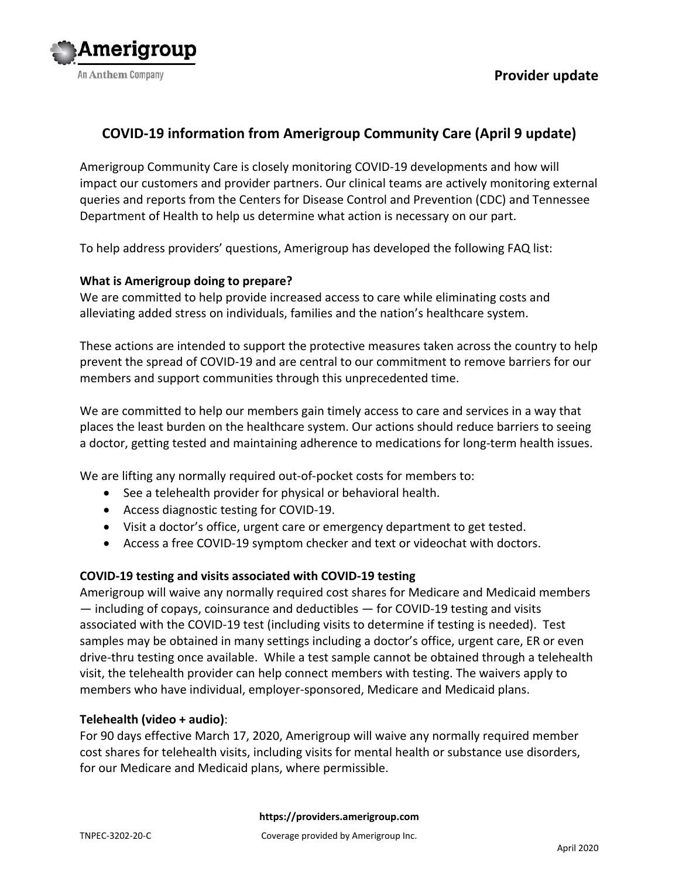

# **COVID-19 information from Amerigroup Community Care (April 9 update)**

Amerigroup Community Care is closely monitoring COVID-19 developments and how will impact our customers and provider partners. Our clinical teams are actively monitoring external queries and reports from the Centers for Disease Control and Prevention (CDC) and Tennessee Department of Health to help us determine what action is necessary on our part.

To help address providers' questions, Amerigroup has developed the following FAQ list:

#### **What is Amerigroup doing to prepare?**

We are committed to help provide increased access to care while eliminating costs and alleviating added stress on individuals, families and the nation's healthcare system.

These actions are intended to support the protective measures taken across the country to help prevent the spread of COVID-19 and are central to our commitment to remove barriers for our members and support communities through this unprecedented time.

We are committed to help our members gain timely access to care and services in a way that places the least burden on the healthcare system. Our actions should reduce barriers to seeing a doctor, getting tested and maintaining adherence to medications for long-term health issues.

We are lifting any normally required out-of-pocket costs for members to:

- See a telehealth provider for physical or behavioral health.
- Access diagnostic testing for COVID-19.
- Visit a doctor's office, urgent care or emergency department to get tested.
- Access a free COVID-19 symptom checker and text or videochat with doctors.

# **COVID-19 testing and visits associated with COVID-19 testing**

Amerigroup will waive any normally required cost shares for Medicare and Medicaid members — including of copays, coinsurance and deductibles — for COVID-19 testing and visits associated with the COVID-19 test (including visits to determine if testing is needed). Test samples may be obtained in many settings including a doctor's office, urgent care, ER or even drive-thru testing once available. While a test sample cannot be obtained through a telehealth visit, the telehealth provider can help connect members with testing. The waivers apply to members who have individual, employer-sponsored, Medicare and Medicaid plans.

#### **Telehealth (video + audio)**:

For 90 days effective March 17, 2020, Amerigroup will waive any normally required member cost shares for telehealth visits, including visits for mental health or substance use disorders, for our Medicare and Medicaid plans, where permissible.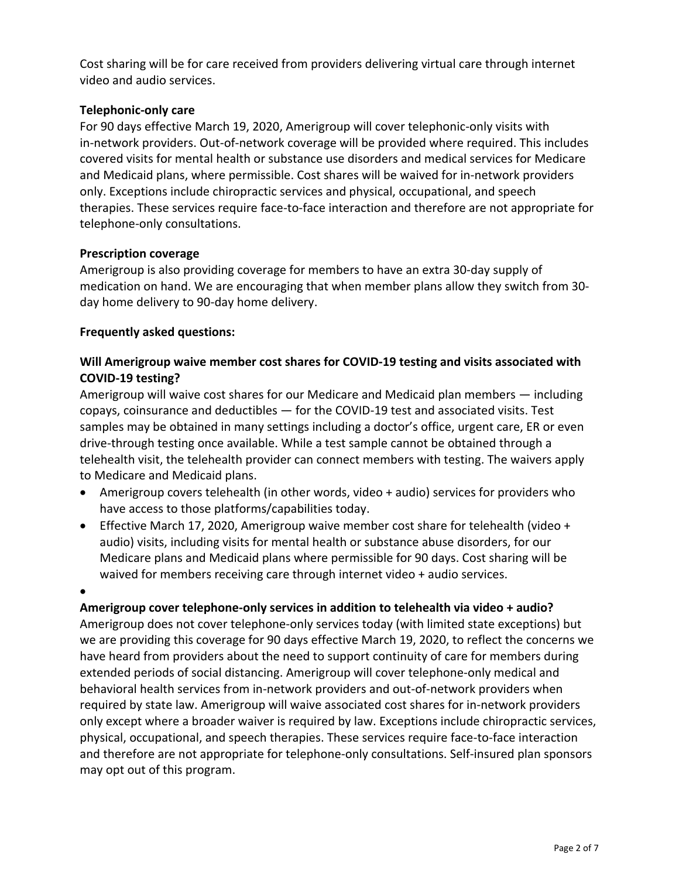Cost sharing will be for care received from providers delivering virtual care through internet video and audio services.

### **Telephonic-only care**

For 90 days effective March 19, 2020, Amerigroup will cover telephonic-only visits with in-network providers. Out-of-network coverage will be provided where required. This includes covered visits for mental health or substance use disorders and medical services for Medicare and Medicaid plans, where permissible. Cost shares will be waived for in-network providers only. Exceptions include chiropractic services and physical, occupational, and speech therapies. These services require face-to-face interaction and therefore are not appropriate for telephone-only consultations.

#### **Prescription coverage**

Amerigroup is also providing coverage for members to have an extra 30-day supply of medication on hand. We are encouraging that when member plans allow they switch from 30 day home delivery to 90-day home delivery.

### **Frequently asked questions:**

# **Will Amerigroup waive member cost shares for COVID-19 testing and visits associated with COVID-19 testing?**

Amerigroup will waive cost shares for our Medicare and Medicaid plan members — including copays, coinsurance and deductibles — for the COVID-19 test and associated visits. Test samples may be obtained in many settings including a doctor's office, urgent care, ER or even drive-through testing once available. While a test sample cannot be obtained through a telehealth visit, the telehealth provider can connect members with testing. The waivers apply to Medicare and Medicaid plans.

- Amerigroup covers telehealth (in other words, video + audio) services for providers who have access to those platforms/capabilities today.
- Effective March 17, 2020, Amerigroup waive member cost share for telehealth (video + audio) visits, including visits for mental health or substance abuse disorders, for our Medicare plans and Medicaid plans where permissible for 90 days. Cost sharing will be waived for members receiving care through internet video + audio services.

 $\bullet$ 

# **Amerigroup cover telephone-only services in addition to telehealth via video + audio?**

Amerigroup does not cover telephone-only services today (with limited state exceptions) but we are providing this coverage for 90 days effective March 19, 2020, to reflect the concerns we have heard from providers about the need to support continuity of care for members during extended periods of social distancing. Amerigroup will cover telephone-only medical and behavioral health services from in-network providers and out-of-network providers when required by state law. Amerigroup will waive associated cost shares for in-network providers only except where a broader waiver is required by law. Exceptions include chiropractic services, physical, occupational, and speech therapies. These services require face-to-face interaction and therefore are not appropriate for telephone-only consultations. Self-insured plan sponsors may opt out of this program.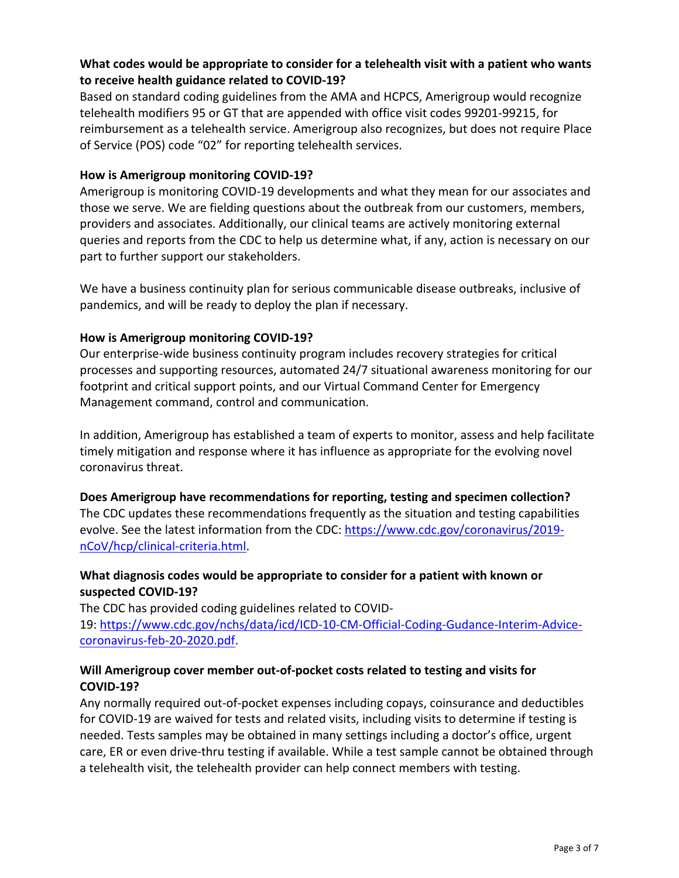# **What codes would be appropriate to consider for a telehealth visit with a patient who wants to receive health guidance related to COVID-19?**

Based on standard coding guidelines from the AMA and HCPCS, Amerigroup would recognize telehealth modifiers 95 or GT that are appended with office visit codes 99201-99215, for reimbursement as a telehealth service. Amerigroup also recognizes, but does not require Place of Service (POS) code "02" for reporting telehealth services.

#### **How is Amerigroup monitoring COVID-19?**

Amerigroup is monitoring COVID-19 developments and what they mean for our associates and those we serve. We are fielding questions about the outbreak from our customers, members, providers and associates. Additionally, our clinical teams are actively monitoring external queries and reports from the CDC to help us determine what, if any, action is necessary on our part to further support our stakeholders.

We have a business continuity plan for serious communicable disease outbreaks, inclusive of pandemics, and will be ready to deploy the plan if necessary.

# **How is Amerigroup monitoring COVID-19?**

Our enterprise-wide business continuity program includes recovery strategies for critical processes and supporting resources, automated 24/7 situational awareness monitoring for our footprint and critical support points, and our Virtual Command Center for Emergency Management command, control and communication.

In addition, Amerigroup has established a team of experts to monitor, assess and help facilitate timely mitigation and response where it has influence as appropriate for the evolving novel coronavirus threat.

**Does Amerigroup have recommendations for reporting, testing and specimen collection?** The CDC updates these recommendations frequently as the situation and testing capabilities evolve. See the latest information from the CDC: [https://www.cdc.gov/coronavirus/2019](https://www.cdc.gov/coronavirus/2019-nCoV/hcp/clinical-criteria.html) [nCoV/hcp/clinical-criteria.html.](https://www.cdc.gov/coronavirus/2019-nCoV/hcp/clinical-criteria.html)

# **What diagnosis codes would be appropriate to consider for a patient with known or suspected COVID-19?**

The CDC has provided coding guidelines related to COVID-19: [https://www.cdc.gov/nchs/data/icd/ICD-10-CM-Official-Coding-Gudance-Interim-Advice](https://www.cdc.gov/nchs/data/icd/ICD-10-CM-Official-Coding-Gudance-Interim-Advice-coronavirus-feb-20-2020.pdf)[coronavirus-feb-20-2020.pdf.](https://www.cdc.gov/nchs/data/icd/ICD-10-CM-Official-Coding-Gudance-Interim-Advice-coronavirus-feb-20-2020.pdf)

### **Will Amerigroup cover member out-of-pocket costs related to testing and visits for COVID-19?**

Any normally required out-of-pocket expenses including copays, coinsurance and deductibles for COVID-19 are waived for tests and related visits, including visits to determine if testing is needed. Tests samples may be obtained in many settings including a doctor's office, urgent care, ER or even drive-thru testing if available. While a test sample cannot be obtained through a telehealth visit, the telehealth provider can help connect members with testing.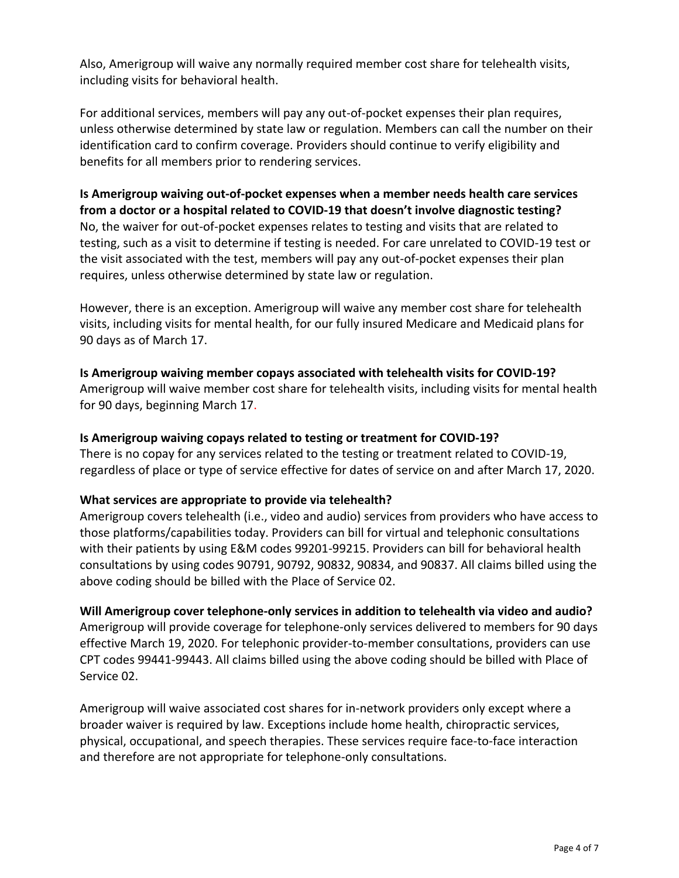Also, Amerigroup will waive any normally required member cost share for telehealth visits, including visits for behavioral health.

For additional services, members will pay any out-of-pocket expenses their plan requires, unless otherwise determined by state law or regulation. Members can call the number on their identification card to confirm coverage. Providers should continue to verify eligibility and benefits for all members prior to rendering services.

# **Is Amerigroup waiving out-of-pocket expenses when a member needs health care services from a doctor or a hospital related to COVID-19 that doesn't involve diagnostic testing?** No, the waiver for out-of-pocket expenses relates to testing and visits that are related to testing, such as a visit to determine if testing is needed. For care unrelated to COVID-19 test or the visit associated with the test, members will pay any out-of-pocket expenses their plan requires, unless otherwise determined by state law or regulation.

However, there is an exception. Amerigroup will waive any member cost share for telehealth visits, including visits for mental health, for our fully insured Medicare and Medicaid plans for 90 days as of March 17.

### **Is Amerigroup waiving member copays associated with telehealth visits for COVID-19?**

Amerigroup will waive member cost share for telehealth visits, including visits for mental health for 90 days, beginning March 17.

### **Is Amerigroup waiving copays related to testing or treatment for COVID-19?**

There is no copay for any services related to the testing or treatment related to COVID-19, regardless of place or type of service effective for dates of service on and after March 17, 2020.

# **What services are appropriate to provide via telehealth?**

Amerigroup covers telehealth (i.e., video and audio) services from providers who have access to those platforms/capabilities today. Providers can bill for virtual and telephonic consultations with their patients by using E&M codes 99201-99215. Providers can bill for behavioral health consultations by using codes 90791, 90792, 90832, 90834, and 90837. All claims billed using the above coding should be billed with the Place of Service 02.

#### **Will Amerigroup cover telephone-only services in addition to telehealth via video and audio?**

Amerigroup will provide coverage for telephone-only services delivered to members for 90 days effective March 19, 2020. For telephonic provider-to-member consultations, providers can use CPT codes 99441-99443. All claims billed using the above coding should be billed with Place of Service 02.

Amerigroup will waive associated cost shares for in-network providers only except where a broader waiver is required by law. Exceptions include home health, chiropractic services, physical, occupational, and speech therapies. These services require face-to-face interaction and therefore are not appropriate for telephone-only consultations.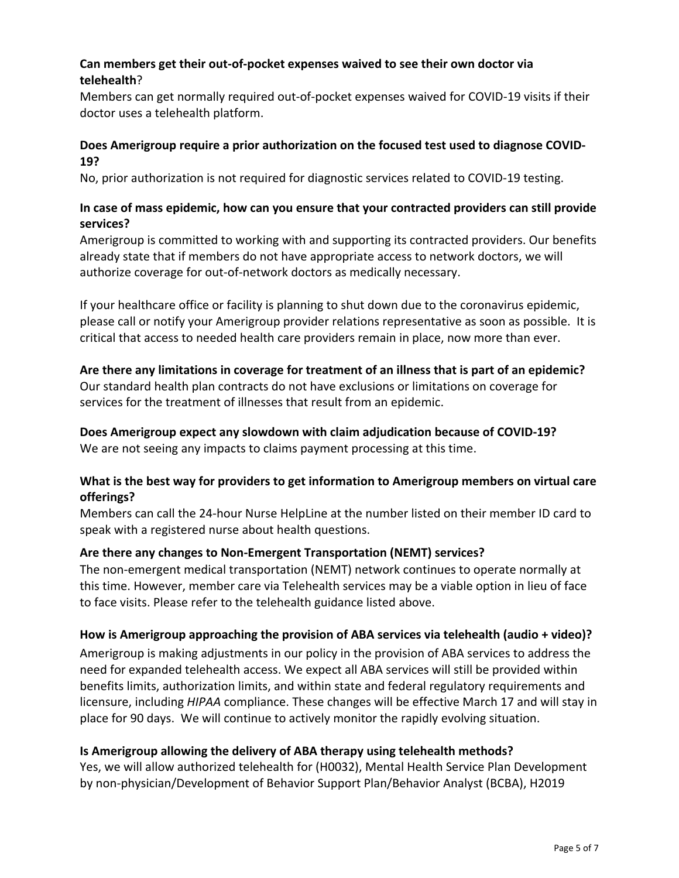# **Can members get their out-of-pocket expenses waived to see their own doctor via telehealth**?

Members can get normally required out-of-pocket expenses waived for COVID-19 visits if their doctor uses a telehealth platform.

### **Does Amerigroup require a prior authorization on the focused test used to diagnose COVID-19?**

No, prior authorization is not required for diagnostic services related to COVID-19 testing.

### **In case of mass epidemic, how can you ensure that your contracted providers can still provide services?**

Amerigroup is committed to working with and supporting its contracted providers. Our benefits already state that if members do not have appropriate access to network doctors, we will authorize coverage for out-of-network doctors as medically necessary.

If your healthcare office or facility is planning to shut down due to the coronavirus epidemic, please call or notify your Amerigroup provider relations representative as soon as possible. It is critical that access to needed health care providers remain in place, now more than ever.

#### **Are there any limitations in coverage for treatment of an illness that is part of an epidemic?**

Our standard health plan contracts do not have exclusions or limitations on coverage for services for the treatment of illnesses that result from an epidemic.

#### **Does Amerigroup expect any slowdown with claim adjudication because of COVID-19?** We are not seeing any impacts to claims payment processing at this time.

### **What is the best way for providers to get information to Amerigroup members on virtual care offerings?**

Members can call the 24-hour Nurse HelpLine at the number listed on their member ID card to speak with a registered nurse about health questions.

#### **Are there any changes to Non-Emergent Transportation (NEMT) services?**

The non-emergent medical transportation (NEMT) network continues to operate normally at this time. However, member care via Telehealth services may be a viable option in lieu of face to face visits. Please refer to the telehealth guidance listed above.

#### **How is Amerigroup approaching the provision of ABA services via telehealth (audio + video)?**

Amerigroup is making adjustments in our policy in the provision of ABA services to address the need for expanded telehealth access. We expect all ABA services will still be provided within benefits limits, authorization limits, and within state and federal regulatory requirements and licensure, including *HIPAA* compliance. These changes will be effective March 17 and will stay in place for 90 days. We will continue to actively monitor the rapidly evolving situation.

#### **Is Amerigroup allowing the delivery of ABA therapy using telehealth methods?**

Yes, we will allow authorized telehealth for (H0032), Mental Health Service Plan Development by non-physician/Development of Behavior Support Plan/Behavior Analyst (BCBA), H2019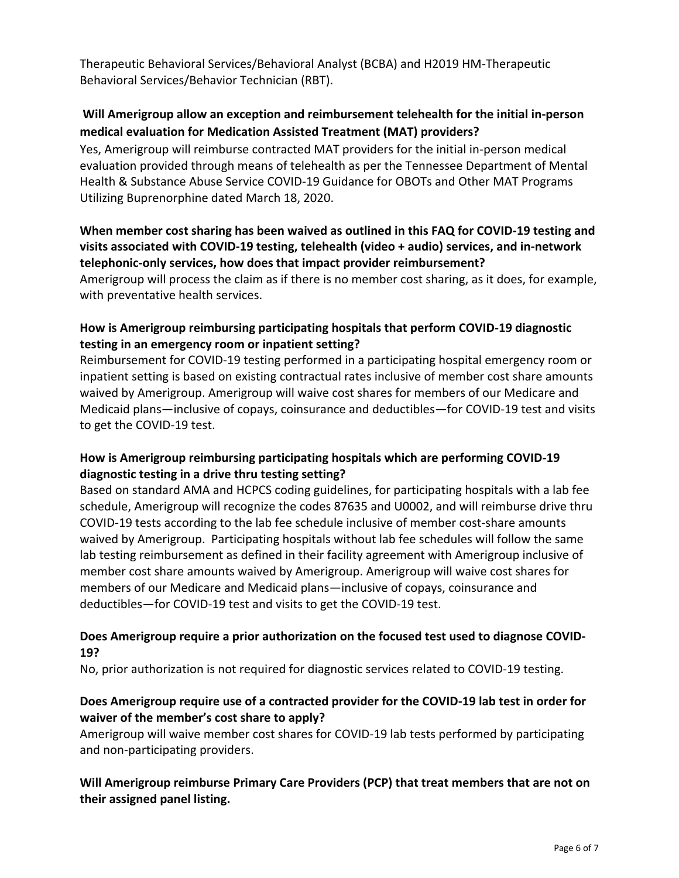Therapeutic Behavioral Services/Behavioral Analyst (BCBA) and H2019 HM-Therapeutic Behavioral Services/Behavior Technician (RBT).

# **Will Amerigroup allow an exception and reimbursement telehealth for the initial in-person medical evaluation for Medication Assisted Treatment (MAT) providers?**

Yes, Amerigroup will reimburse contracted MAT providers for the initial in-person medical evaluation provided through means of telehealth as per the Tennessee Department of Mental Health & Substance Abuse Service COVID‐19 Guidance for OBOTs and Other MAT Programs Utilizing Buprenorphine dated March 18, 2020.

# **When member cost sharing has been waived as outlined in this FAQ for COVID-19 testing and visits associated with COVID-19 testing, telehealth (video + audio) services, and in-network telephonic-only services, how does that impact provider reimbursement?**

Amerigroup will process the claim as if there is no member cost sharing, as it does, for example, with preventative health services.

# **How is Amerigroup reimbursing participating hospitals that perform COVID-19 diagnostic testing in an emergency room or inpatient setting?**

Reimbursement for COVID-19 testing performed in a participating hospital emergency room or inpatient setting is based on existing contractual rates inclusive of member cost share amounts waived by Amerigroup. Amerigroup will waive cost shares for members of our Medicare and Medicaid plans—inclusive of copays, coinsurance and deductibles—for COVID-19 test and visits to get the COVID-19 test.

# **How is Amerigroup reimbursing participating hospitals which are performing COVID-19 diagnostic testing in a drive thru testing setting?**

Based on standard AMA and HCPCS coding guidelines, for participating hospitals with a lab fee schedule, Amerigroup will recognize the codes 87635 and U0002, and will reimburse drive thru COVID-19 tests according to the lab fee schedule inclusive of member cost-share amounts waived by Amerigroup. Participating hospitals without lab fee schedules will follow the same lab testing reimbursement as defined in their facility agreement with Amerigroup inclusive of member cost share amounts waived by Amerigroup. Amerigroup will waive cost shares for members of our Medicare and Medicaid plans—inclusive of copays, coinsurance and deductibles—for COVID-19 test and visits to get the COVID-19 test.

# **Does Amerigroup require a prior authorization on the focused test used to diagnose COVID-19?**

No, prior authorization is not required for diagnostic services related to COVID-19 testing.

# **Does Amerigroup require use of a contracted provider for the COVID-19 lab test in order for waiver of the member's cost share to apply?**

Amerigroup will waive member cost shares for COVID-19 lab tests performed by participating and non-participating providers.

# **Will Amerigroup reimburse Primary Care Providers (PCP) that treat members that are not on their assigned panel listing.**